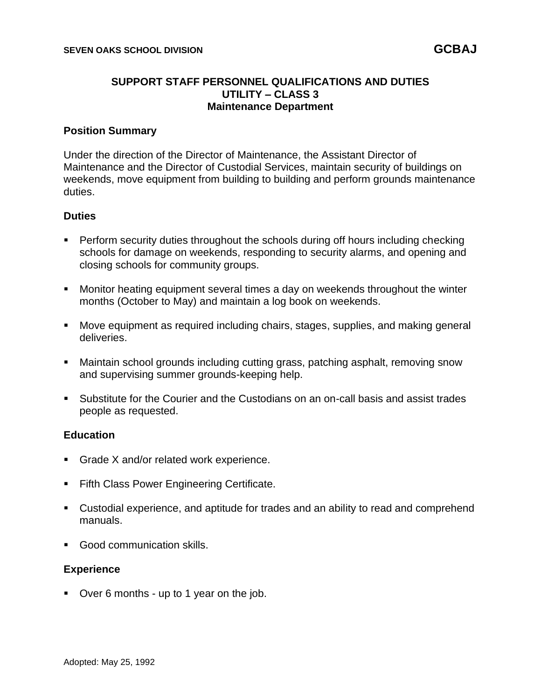### **SUPPORT STAFF PERSONNEL QUALIFICATIONS AND DUTIES UTILITY – CLASS 3 Maintenance Department**

### **Position Summary**

Under the direction of the Director of Maintenance, the Assistant Director of Maintenance and the Director of Custodial Services, maintain security of buildings on weekends, move equipment from building to building and perform grounds maintenance duties.

#### **Duties**

- Perform security duties throughout the schools during off hours including checking schools for damage on weekends, responding to security alarms, and opening and closing schools for community groups.
- Monitor heating equipment several times a day on weekends throughout the winter months (October to May) and maintain a log book on weekends.
- Move equipment as required including chairs, stages, supplies, and making general deliveries.
- Maintain school grounds including cutting grass, patching asphalt, removing snow and supervising summer grounds-keeping help.
- Substitute for the Courier and the Custodians on an on-call basis and assist trades people as requested.

### **Education**

- Grade X and/or related work experience.
- Fifth Class Power Engineering Certificate.
- Custodial experience, and aptitude for trades and an ability to read and comprehend manuals.
- Good communication skills.

#### **Experience**

■ Over 6 months - up to 1 year on the job.